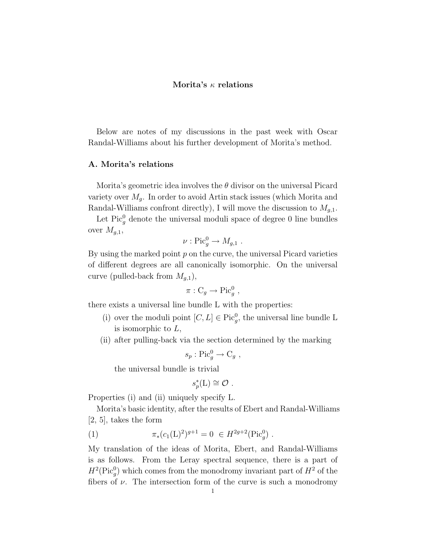# Morita's  $\kappa$  relations

Below are notes of my discussions in the past week with Oscar Randal-Williams about his further development of Morita's method.

## A. Morita's relations

Morita's geometric idea involves the  $\theta$  divisor on the universal Picard variety over  $M_q$ . In order to avoid Artin stack issues (which Morita and Randal-Williams confront directly), I will move the discussion to  $M_{g,1}$ .

Let  $Pic_g^0$  denote the universal moduli space of degree 0 line bundles over  $M_{q,1}$ ,

$$
\nu: \mathrm{Pic}_g^0 \to M_{g,1} .
$$

By using the marked point  $p$  on the curve, the universal Picard varieties of different degrees are all canonically isomorphic. On the universal curve (pulled-back from  $M_{q,1}$ ),

$$
\pi : C_g \to \text{Pic}^0_g ,
$$

there exists a universal line bundle L with the properties:

- (i) over the moduli point  $[C, L] \in \text{Pic}_g^0$ , the universal line bundle L is isomorphic to L,
- (ii) after pulling-back via the section determined by the marking

$$
s_p: \mathrm{Pic}_g^0 \to \mathrm{C}_g ,
$$

the universal bundle is trivial

$$
s_p^*(\mathcal{L}) \cong \mathcal{O}.
$$

Properties (i) and (ii) uniquely specify L.

Morita's basic identity, after the results of Ebert and Randal-Williams [2, 5], takes the form

(1) 
$$
\pi_*(c_1(L)^2)^{g+1} = 0 \in H^{2g+2}(\text{Pic}_g^0) .
$$

My translation of the ideas of Morita, Ebert, and Randal-Williams is as follows. From the Leray spectral sequence, there is a part of  $H^2(\text{Pic}_g^0)$  which comes from the monodromy invariant part of  $H^2$  of the fibers of  $\nu$ . The intersection form of the curve is such a monodromy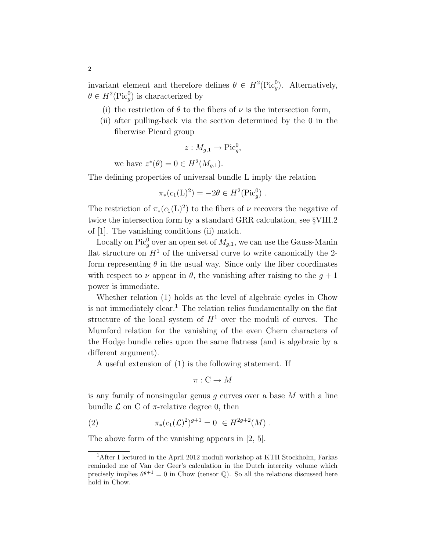invariant element and therefore defines  $\theta \in H^2(\text{Pic}_g^0)$ . Alternatively,  $\theta \in H^2(\text{Pic}_g^0)$  is characterized by

- (i) the restriction of  $\theta$  to the fibers of  $\nu$  is the intersection form,
- (ii) after pulling-back via the section determined by the 0 in the fiberwise Picard group

$$
z: M_{g,1} \to \operatorname{Pic}^0_g,
$$

we have  $z^*(\theta) = 0 \in H^2(M_{g,1}).$ 

The defining properties of universal bundle L imply the relation

$$
\pi_*(c_1(L)^2) = -2\theta \in H^2(\text{Pic}_g^0) .
$$

The restriction of  $\pi_*(c_1(L)^2)$  to the fibers of  $\nu$  recovers the negative of twice the intersection form by a standard GRR calculation, see §VIII.2 of [1]. The vanishing conditions (ii) match.

Locally on Pic<sup>0</sup><sub>g</sub> over an open set of  $M_{g,1}$ , we can use the Gauss-Manin flat structure on  $H^1$  of the universal curve to write canonically the 2form representing  $\theta$  in the usual way. Since only the fiber coordinates with respect to  $\nu$  appear in  $\theta$ , the vanishing after raising to the  $g + 1$ power is immediate.

Whether relation (1) holds at the level of algebraic cycles in Chow is not immediately clear.<sup>1</sup> The relation relies fundamentally on the flat structure of the local system of  $H^1$  over the moduli of curves. The Mumford relation for the vanishing of the even Chern characters of the Hodge bundle relies upon the same flatness (and is algebraic by a different argument).

A useful extension of (1) is the following statement. If

$$
\pi: \mathcal{C} \to M
$$

is any family of nonsingular genus  $q$  curves over a base  $M$  with a line bundle  $\mathcal L$  on C of  $\pi$ -relative degree 0, then

(2) 
$$
\pi_*(c_1(\mathcal{L})^2)^{g+1} = 0 \in H^{2g+2}(M) .
$$

The above form of the vanishing appears in [2, 5].

 $^{1}\mathrm{After~I~lectured~in~the~April~2012~moduli~workshop~at~KTH~Stockholm,~Farkas}$ reminded me of Van der Geer's calculation in the Dutch intercity volume which precisely implies  $\theta^{g+1} = 0$  in Chow (tensor Q). So all the relations discussed here hold in Chow.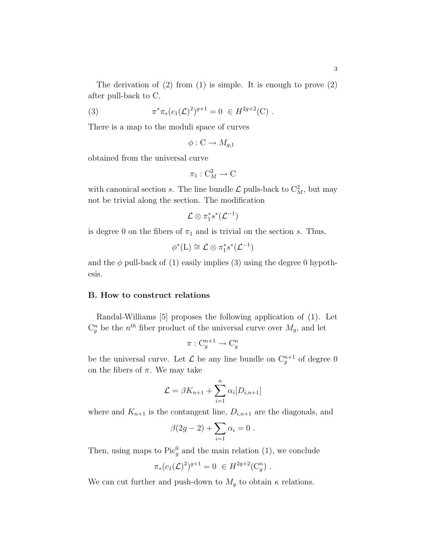The derivation of  $(2)$  from  $(1)$  is simple. It is enough to prove  $(2)$ after pull-back to C,

(3) 
$$
\pi^* \pi_* (c_1(\mathcal{L})^2)^{g+1} = 0 \in H^{2g+2}(\mathcal{C}) .
$$

There is a map to the moduli space of curves

$$
\phi: \mathcal{C} \to M_{g,1}
$$

obtained from the universal curve

$$
\pi_1:\mathcal{C}_M^2\to\mathcal{C}
$$

with canonical section s. The line bundle  $\mathcal{L}$  pulls-back to  $C_M^2$ , but may not be trivial along the section. The modification

$$
\mathcal{L} \otimes \pi_1^*s^*(\mathcal{L}^{-1})
$$

is degree 0 on the fibers of  $\pi_1$  and is trivial on the section s. Thus,

$$
\phi^*(L) \cong \mathcal{L} \otimes \pi_1^* s^*(\mathcal{L}^{-1})
$$

and the  $\phi$  pull-back of (1) easily implies (3) using the degree 0 hypothesis.

## B. How to construct relations

Randal-Williams [5] proposes the following application of (1). Let  $C_g^n$  be the  $n^{th}$  fiber product of the universal curve over  $M_g$ , and let

$$
\pi: \mathcal{C}_g^{n+1} \to \mathcal{C}_g^n
$$

be the universal curve. Let  $\mathcal L$  be any line bundle on  $C_g^{n+1}$  of degree 0 on the fibers of  $\pi$ . We may take

$$
\mathcal{L} = \beta K_{n+1} + \sum_{i=1}^{n} \alpha_i [D_{i,n+1}]
$$

where and  $K_{n+1}$  is the contangent line,  $D_{i,n+1}$  are the diagonals, and

$$
\beta(2g-2)+\sum_{i=1}\alpha_i=0.
$$

Then, using maps to  $Pic_g^0$  and the main relation (1), we conclude

$$
\pi_*(c_1(\mathcal{L})^2)^{g+1} = 0 \in H^{2g+2}(\mathcal{C}_g^n) .
$$

We can cut further and push-down to  $M_g$  to obtain  $\kappa$  relations.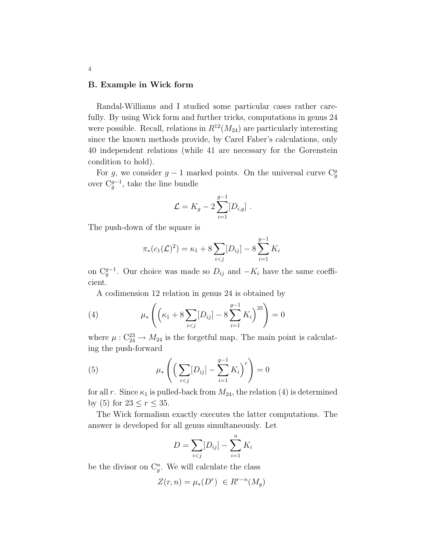### B. Example in Wick form

Randal-Williams and I studied some particular cases rather carefully. By using Wick form and further tricks, computations in genus 24 were possible. Recall, relations in  $R^{12}(M_{24})$  are particularly interesting since the known methods provide, by Carel Faber's calculations, only 40 independent relations (while 41 are necessary for the Gorenstein condition to hold).

For g, we consider  $g-1$  marked points. On the universal curve  $C_g^g$ over  $C_g^{g-1}$ , take the line bundle

$$
\mathcal{L} = K_g - 2 \sum_{i=1}^{g-1} [D_{i,g}] \ .
$$

The push-down of the square is

$$
\pi_*(c_1(\mathcal{L})^2) = \kappa_1 + 8 \sum_{i < j} [D_{ij}] - 8 \sum_{i=1}^{g-1} K_i
$$

on  $C_g^{g-1}$ . Our choice was made so  $D_{ij}$  and  $-K_i$  have the same coefficient.

A codimension 12 relation in genus 24 is obtained by

(4) 
$$
\mu_*\left(\left(\kappa_1 + 8\sum_{i < j} [D_{ij}] - 8\sum_{i=1}^{g-1} K_i\right)^{35}\right) = 0
$$

where  $\mu$ :  $C_{24}^{23} \rightarrow M_{24}$  is the forgetful map. The main point is calculating the push-forward

(5) 
$$
\mu_* \left( \left( \sum_{i < j} [D_{ij}] - \sum_{i=1}^{g-1} K_i \right)^r \right) = 0
$$

for all r. Since  $\kappa_1$  is pulled-back from  $M_{24}$ , the relation (4) is determined by (5) for  $23 \le r \le 35$ .

The Wick formalism exactly executes the latter computations. The answer is developed for all genus simultaneously. Let

$$
D = \sum_{i < j} [D_{ij}] - \sum_{i=1}^{n} K_i
$$

be the divisor on  $C_g^n$ . We will calculate the class

$$
Z(r,n) = \mu_*(D^r) \in R^{r-n}(M_g)
$$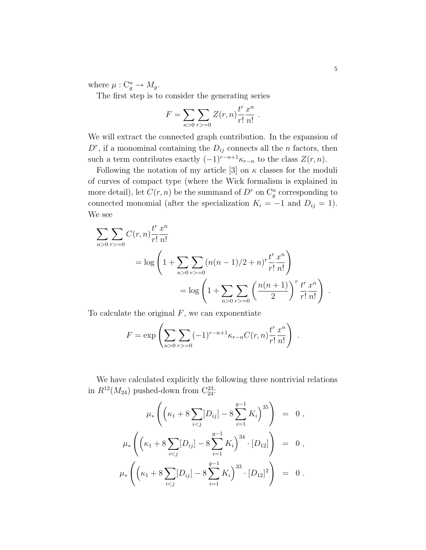where  $\mu: \mathcal{C}_g^n \to M_g$ .

The first step is to consider the generating series

$$
F = \sum_{n>0} \sum_{r>=0} Z(r, n) \frac{t^r}{r!} \frac{x^n}{n!} .
$$

We will extract the connected graph contribution. In the expansion of  $D^r$ , if a monominal containing the  $D_{ij}$  connects all the *n* factors, then such a term contributes exactly  $(-1)^{r-n+1}\kappa_{r-n}$  to the class  $Z(r,n)$ .

Following the notation of my article [3] on  $\kappa$  classes for the moduli of curves of compact type (where the Wick formalism is explained in more detail), let  $C(r, n)$  be the summand of  $D^r$  on  $C_g^n$  corresponding to connected monomial (after the specialization  $K_i = -1$  and  $D_{ij} = 1$ ). We see

$$
\sum_{n>0} \sum_{r>=0} C(r,n) \frac{t^r x^n}{r! n!}
$$
  
=  $\log \left( 1 + \sum_{n>0} \sum_{r>=0} (n(n-1)/2 + n)^r \frac{t^r x^n}{r! n!} \right)$   
=  $\log \left( 1 + \sum_{n>0} \sum_{r>=0} \left( \frac{n(n+1)}{2} \right)^r \frac{t^r x^n}{r! n!} \right).$ 

To calculate the original  $F$ , we can exponentiate

$$
F = \exp\left(\sum_{n>0} \sum_{r>0} (-1)^{r-n+1} \kappa_{r-n} C(r, n) \frac{t^r}{r!} \frac{x^n}{n!}\right)
$$

.

We have calculated explicitly the following three nontrivial relations in  $R^{12}(M_{24})$  pushed-down from  $C_{24}^{23}$ :

$$
\mu_* \left( \left( \kappa_1 + 8 \sum_{i < j} [D_{ij}] - 8 \sum_{i=1}^{g-1} K_i \right)^{35} \right) = 0,
$$
\n
$$
\mu_* \left( \left( \kappa_1 + 8 \sum_{i < j} [D_{ij}] - 8 \sum_{i=1}^{g-1} K_i \right)^{34} \cdot [D_{12}] \right) = 0,
$$
\n
$$
\mu_* \left( \left( \kappa_1 + 8 \sum_{i < j} [D_{ij}] - 8 \sum_{i=1}^{g-1} K_i \right)^{33} \cdot [D_{12}]^2 \right) = 0.
$$